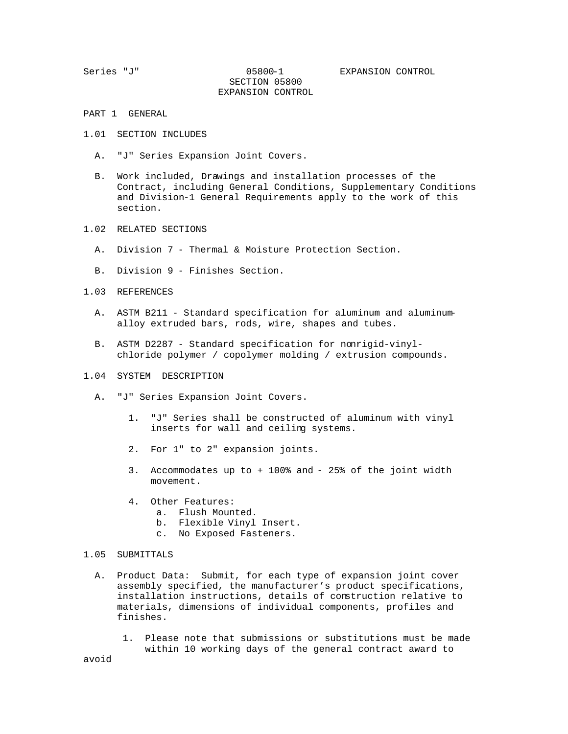## SECTION 05800 EXPANSION CONTROL

- PART 1 GENERAL
- 1.01 SECTION INCLUDES
	- A. "J" Series Expansion Joint Covers.
	- B. Work included, Drawings and installation processes of the Contract, including General Conditions, Supplementary Conditions and Division-1 General Requirements apply to the work of this section.
- 1.02 RELATED SECTIONS
	- A. Division 7 Thermal & Moisture Protection Section.
	- B. Division 9 Finishes Section.
- 1.03 REFERENCES
	- A. ASTM B211 Standard specification for aluminum and aluminum alloy extruded bars, rods, wire, shapes and tubes.
	- B. ASTM D2287 Standard specification for nonrigid-vinyl chloride polymer / copolymer molding / extrusion compounds.
- 1.04 SYSTEM DESCRIPTION
	- A. "J" Series Expansion Joint Covers.
		- 1. "J" Series shall be constructed of aluminum with vinyl inserts for wall and ceiling systems.
		- 2. For 1" to 2" expansion joints.
		- 3. Accommodates up to + 100% and 25% of the joint width movement.
		- 4. Other Features:
			- a. Flush Mounted.
			- b. Flexible Vinyl Insert.
			- c. No Exposed Fasteners.
- 1.05 SUBMITTALS
	- A. Product Data: Submit, for each type of expansion joint cover assembly specified, the manufacturer's product specifications, installation instructions, details of construction relative to materials, dimensions of individual components, profiles and finishes.
		- 1. Please note that submissions or substitutions must be made within 10 working days of the general contract award to

avoid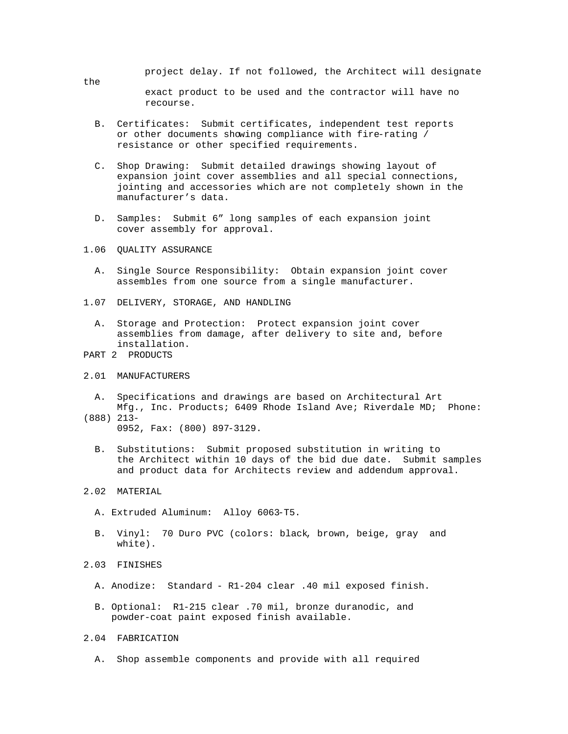project delay. If not followed, the Architect will designate the exact product to be used and the contractor will have no recourse.

- B. Certificates: Submit certificates, independent test reports or other documents showing compliance with fire-rating / resistance or other specified requirements.
- C. Shop Drawing: Submit detailed drawings showing layout of expansion joint cover assemblies and all special connections, jointing and accessories which are not completely shown in the manufacturer's data.
- D. Samples: Submit 6" long samples of each expansion joint cover assembly for approval.
- 1.06 QUALITY ASSURANCE
	- A. Single Source Responsibility: Obtain expansion joint cover assembles from one source from a single manufacturer.
- 1.07 DELIVERY, STORAGE, AND HANDLING
	- A. Storage and Protection: Protect expansion joint cover assemblies from damage, after delivery to site and, before installation.
- PART 2 PRODUCTS
- 2.01 MANUFACTURERS
- A. Specifications and drawings are based on Architectural Art Mfg., Inc. Products; 6409 Rhode Island Ave; Riverdale MD; Phone: (888) 213-
	- 0952, Fax: (800) 897-3129.
	- B. Substitutions: Submit proposed substitution in writing to the Architect within 10 days of the bid due date. Submit samples and product data for Architects review and addendum approval.
- 2.02 MATERIAL
	- A. Extruded Aluminum: Alloy 6063-T5.
	- B. Vinyl: 70 Duro PVC (colors: black, brown, beige, gray and white).
- 2.03 FINISHES
	- A. Anodize: Standard R1-204 clear .40 mil exposed finish.
	- B. Optional: R1-215 clear .70 mil, bronze duranodic, and powder-coat paint exposed finish available.
- 2.04 FABRICATION
	- A. Shop assemble components and provide with all required